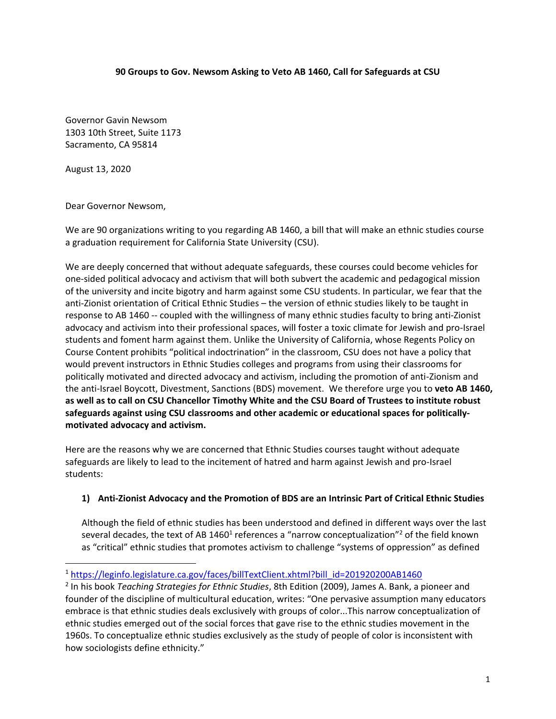#### **90 Groups to Gov. Newsom Asking to Veto AB 1460, Call for Safeguards at CSU**

Governor Gavin Newsom 1303 10th Street, Suite 1173 Sacramento, CA 95814

August 13, 2020

Dear Governor Newsom,

We are 90 organizations writing to you regarding AB 1460, a bill that will make an ethnic studies course a graduation requirement for California State University (CSU).

We are deeply concerned that without adequate safeguards, these courses could become vehicles for one-sided political advocacy and activism that will both subvert the academic and pedagogical mission of the university and incite bigotry and harm against some CSU students. In particular, we fear that the anti-Zionist orientation of Critical Ethnic Studies – the version of ethnic studies likely to be taught in response to AB 1460 -- coupled with the willingness of many ethnic studies faculty to bring anti-Zionist advocacy and activism into their professional spaces, will foster a toxic climate for Jewish and pro-Israel students and foment harm against them. Unlike the University of California, whose Regents Policy on Course Content prohibits "political indoctrination" in the classroom, CSU does not have a policy that would prevent instructors in Ethnic Studies colleges and programs from using their classrooms for politically motivated and directed advocacy and activism, including the promotion of anti-Zionism and the anti-Israel Boycott, Divestment, Sanctions (BDS) movement. We therefore urge you to **veto AB 1460, as well as to call on CSU Chancellor Timothy White and the CSU Board of Trustees to institute robust safeguards against using CSU classrooms and other academic or educational spaces for politicallymotivated advocacy and activism.** 

Here are the reasons why we are concerned that Ethnic Studies courses taught without adequate safeguards are likely to lead to the incitement of hatred and harm against Jewish and pro-Israel students:

#### **1) Anti-Zionist Advocacy and the Promotion of BDS are an Intrinsic Part of Critical Ethnic Studies**

Although the field of ethnic studies has been understood and defined in different ways over the last several decades, the text of AB 1460<sup>1</sup> references a "narrow conceptualization"<sup>2</sup> of the field known as "critical" ethnic studies that promotes activism to challenge "systems of oppression" as defined

<sup>&</sup>lt;sup>1</sup> https://leginfo.legislature.ca.gov/faces/billTextClient.xhtml?bill\_id=201920200AB1460

<sup>2</sup> In his book *Teaching Strategies for Ethnic Studies*, 8th Edition (2009), James A. Bank, a pioneer and founder of the discipline of multicultural education, writes: "One pervasive assumption many educators embrace is that ethnic studies deals exclusively with groups of color...This narrow conceptualization of ethnic studies emerged out of the social forces that gave rise to the ethnic studies movement in the 1960s. To conceptualize ethnic studies exclusively as the study of people of color is inconsistent with how sociologists define ethnicity."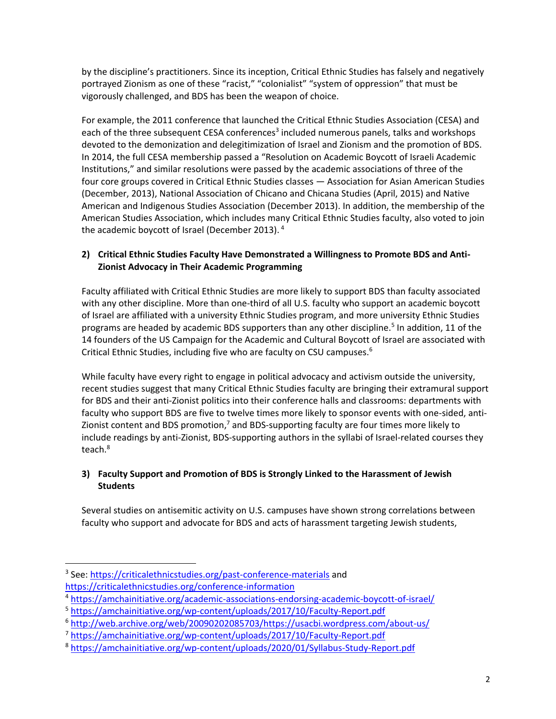by the discipline's practitioners. Since its inception, Critical Ethnic Studies has falsely and negatively portrayed Zionism as one of these "racist," "colonialist" "system of oppression" that must be vigorously challenged, and BDS has been the weapon of choice.

For example, the 2011 conference that launched the Critical Ethnic Studies Association (CESA) and each of the three subsequent CESA conferences<sup>3</sup> included numerous panels, talks and workshops devoted to the demonization and delegitimization of Israel and Zionism and the promotion of BDS. In 2014, the full CESA membership passed a "Resolution on Academic Boycott of Israeli Academic Institutions," and similar resolutions were passed by the academic associations of three of the four core groups covered in Critical Ethnic Studies classes — Association for Asian American Studies (December, 2013), National Association of Chicano and Chicana Studies (April, 2015) and Native American and Indigenous Studies Association (December 2013). In addition, the membership of the American Studies Association, which includes many Critical Ethnic Studies faculty, also voted to join the academic boycott of Israel (December 2013). <sup>4</sup>

## **2) Critical Ethnic Studies Faculty Have Demonstrated a Willingness to Promote BDS and Anti-Zionist Advocacy in Their Academic Programming**

Faculty affiliated with Critical Ethnic Studies are more likely to support BDS than faculty associated with any other discipline. More than one-third of all U.S. faculty who support an academic boycott of Israel are affiliated with a university Ethnic Studies program, and more university Ethnic Studies programs are headed by academic BDS supporters than any other discipline.<sup>5</sup> In addition, 11 of the 14 founders of the US Campaign for the Academic and Cultural Boycott of Israel are associated with Critical Ethnic Studies, including five who are faculty on CSU campuses.<sup>6</sup>

While faculty have every right to engage in political advocacy and activism outside the university, recent studies suggest that many Critical Ethnic Studies faculty are bringing their extramural support for BDS and their anti-Zionist politics into their conference halls and classrooms: departments with faculty who support BDS are five to twelve times more likely to sponsor events with one-sided, anti-Zionist content and BDS promotion,<sup>7</sup> and BDS-supporting faculty are four times more likely to include readings by anti-Zionist, BDS-supporting authors in the syllabi of Israel-related courses they teach.<sup>8</sup>

# **3) Faculty Support and Promotion of BDS is Strongly Linked to the Harassment of Jewish Students**

Several studies on antisemitic activity on U.S. campuses have shown strong correlations between faculty who support and advocate for BDS and acts of harassment targeting Jewish students,

<sup>&</sup>lt;sup>3</sup> See:<https://criticalethnicstudies.org/past-conference-materials> and <https://criticalethnicstudies.org/conference-information>

<sup>4</sup> <https://amchainitiative.org/academic-associations-endorsing-academic-boycott-of-israel/>

<sup>5</sup> <https://amchainitiative.org/wp-content/uploads/2017/10/Faculty-Report.pdf>

<sup>6</sup> [http://web.archive.org/web/20090202085703/https://usacbi.wordpress.com/about-us/](http://web.archive.org/web/20090202085703/https:/usacbi.wordpress.com/about-us/)

<sup>7</sup> <https://amchainitiative.org/wp-content/uploads/2017/10/Faculty-Report.pdf>

<sup>8</sup> <https://amchainitiative.org/wp-content/uploads/2020/01/Syllabus-Study-Report.pdf>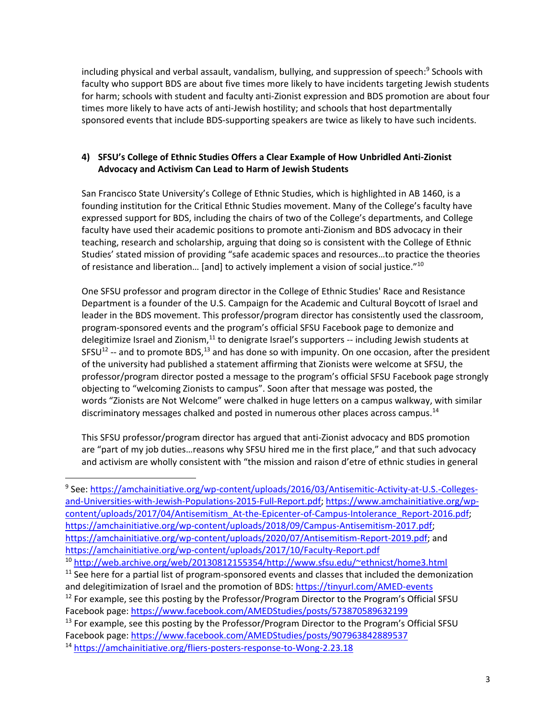including physical and verbal assault, vandalism, bullying, and suppression of speech: 9 Schools with faculty who support BDS are about five times more likely to have incidents targeting Jewish students for harm; schools with student and faculty anti-Zionist expression and BDS promotion are about four times more likely to have acts of anti-Jewish hostility; and schools that host departmentally sponsored events that include BDS-supporting speakers are twice as likely to have such incidents.

## **4) SFSU's College of Ethnic Studies Offers a Clear Example of How Unbridled Anti-Zionist Advocacy and Activism Can Lead to Harm of Jewish Students**

San Francisco State University's College of Ethnic Studies, which is highlighted in AB 1460, is a founding institution for the Critical Ethnic Studies movement. Many of the College's faculty have expressed support for BDS, including the chairs of two of the College's departments, and College faculty have used their academic positions to promote anti-Zionism and BDS advocacy in their teaching, research and scholarship, arguing that doing so is consistent with the College of Ethnic Studies' stated mission of providing "safe academic spaces and resources…to practice the theories of resistance and liberation... [and] to actively implement a vision of social justice."<sup>10</sup>

One SFSU professor and program director in the College of Ethnic Studies' Race and Resistance Department is a founder of the U.S. Campaign for the Academic and Cultural Boycott of Israel and leader in the BDS movement. This professor/program director has consistently used the classroom, program-sponsored events and the program's official SFSU Facebook page to demonize and delegitimize Israel and Zionism,<sup>11</sup> to denigrate Israel's supporters -- including Jewish students at SFSU<sup>12</sup> -- and to promote BDS,<sup>13</sup> and has done so with impunity. On one occasion, after the president of the university had published a statement affirming that Zionists were welcome at SFSU, the professor/program director posted a message to the program's official SFSU Facebook page strongly objecting to "welcoming Zionists to campus". Soon after that message was posted, the words "Zionists are Not Welcome" were chalked in huge letters on a campus walkway, with similar discriminatory messages chalked and posted in numerous other places across campus.<sup>14</sup>

This SFSU professor/program director has argued that anti-Zionist advocacy and BDS promotion are "part of my job duties…reasons why SFSU hired me in the first place," and that such advocacy and activism are wholly consistent with "the mission and raison d'etre of ethnic studies in general

<sup>&</sup>lt;sup>9</sup> See: <u>https://amchainitiative.org/wp-content/uploads/2016/03/Antisemitic-Activity-at-U.S.-Colleges-</u> [and-Universities-with-Jewish-Populations-2015-Full-Report.pdf;](https://amchainitiative.org/wp-content/uploads/2016/03/Antisemitic-Activity-at-U.S.-Colleges-and-Universities-with-Jewish-Populations-2015-Full-Report.pdf) [https://www.amchainitiative.org/wp](https://www.amchainitiative.org/wp-content/uploads/2017/04/Antisemitism_At-the-Epicenter-of-Campus-Intolerance_Report-2016.pdf)[content/uploads/2017/04/Antisemitism\\_At-the-Epicenter-of-Campus-Intolerance\\_Report-2016.pdf;](https://www.amchainitiative.org/wp-content/uploads/2017/04/Antisemitism_At-the-Epicenter-of-Campus-Intolerance_Report-2016.pdf) [https://amchainitiative.org/wp-content/uploads/2018/09/Campus-Antisemitism-2017.pdf;](https://amchainitiative.org/wp-content/uploads/2018/09/Campus-Antisemitism-2017.pdf) [https://amchainitiative.org/wp-content/uploads/2020/07/Antisemitism-Report-2019.pdf;](https://amchainitiative.org/wp-content/uploads/2020/07/Antisemitism-Report-2019.pdf) and <https://amchainitiative.org/wp-content/uploads/2017/10/Faculty-Report.pdf>

<sup>10</sup> [http://web.archive.org/web/20130812155354/http://www.sfsu.edu/~ethnicst/home3.html](http://web.archive.org/web/20130812155354/http:/www.sfsu.edu/~ethnicst/home3.html) 

<sup>&</sup>lt;sup>11</sup> See here for a partial list of program-sponsored events and classes that included the demonization and delegitimization of Israel and the promotion of BDS:<https://tinyurl.com/AMED-events>  $12$  For example, see this posting by the Professor/Program Director to the Program's Official SFSU

Facebook page:<https://www.facebook.com/AMEDStudies/posts/573870589632199>

 $<sup>13</sup>$  For example, see this posting by the Professor/Program Director to the Program's Official SFSU</sup> Facebook page:<https://www.facebook.com/AMEDStudies/posts/907963842889537>

<sup>14</sup> <https://amchainitiative.org/fliers-posters-response-to-Wong-2.23.18>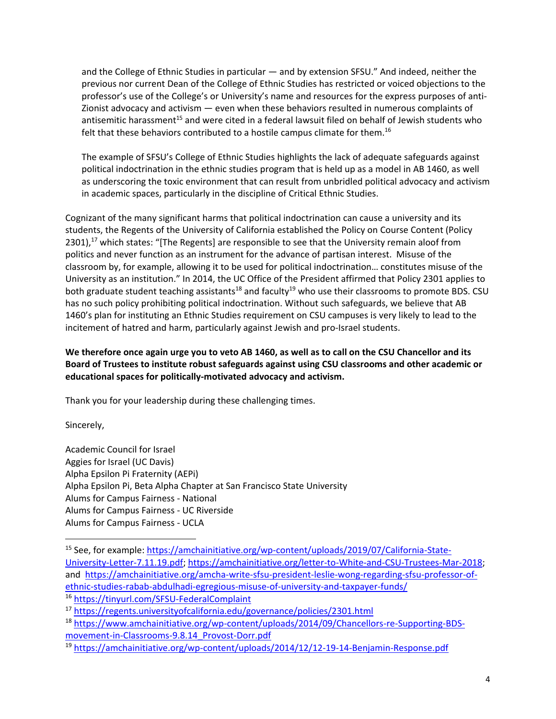and the College of Ethnic Studies in particular — and by extension SFSU." And indeed, neither the previous nor current Dean of the College of Ethnic Studies has restricted or voiced objections to the professor's use of the College's or University's name and resources for the express purposes of anti-Zionist advocacy and activism — even when these behaviors resulted in numerous complaints of antisemitic harassment<sup>15</sup> and were cited in a federal lawsuit filed on behalf of Jewish students who felt that these behaviors contributed to a hostile campus climate for them.<sup>16</sup>

The example of SFSU's College of Ethnic Studies highlights the lack of adequate safeguards against political indoctrination in the ethnic studies program that is held up as a model in AB 1460, as well as underscoring the toxic environment that can result from unbridled political advocacy and activism in academic spaces, particularly in the discipline of Critical Ethnic Studies.

Cognizant of the many significant harms that political indoctrination can cause a university and its students, the Regents of the University of California established the Policy on Course Content (Policy 2301),<sup>17</sup> which states: "[The Regents] are responsible to see that the University remain aloof from politics and never function as an instrument for the advance of partisan interest. Misuse of the classroom by, for example, allowing it to be used for political indoctrination… constitutes misuse of the University as an institution." In 2014, the UC Office of the President affirmed that Policy 2301 applies to both graduate student teaching assistants<sup>18</sup> and faculty<sup>19</sup> who use their classrooms to promote BDS. CSU has no such policy prohibiting political indoctrination. Without such safeguards, we believe that AB 1460's plan for instituting an Ethnic Studies requirement on CSU campuses is very likely to lead to the incitement of hatred and harm, particularly against Jewish and pro-Israel students.

**We therefore once again urge you to veto AB 1460, as well as to call on the CSU Chancellor and its Board of Trustees to institute robust safeguards against using CSU classrooms and other academic or educational spaces for politically-motivated advocacy and activism.**

Thank you for your leadership during these challenging times.

Sincerely,

Academic Council for Israel Aggies for Israel (UC Davis) Alpha Epsilon Pi Fraternity (AEPi) Alpha Epsilon Pi, Beta Alpha Chapter at San Francisco State University Alums for Campus Fairness - National Alums for Campus Fairness - UC Riverside Alums for Campus Fairness - UCLA

<sup>&</sup>lt;sup>15</sup> See, for example: [https://amchainitiative.org/wp-content/uploads/2019/07/California-State-](https://amchainitiative.org/wp-content/uploads/2019/07/California-State-University-Letter-7.11.19.pdf)[University-Letter-7.11.19.pdf;](https://amchainitiative.org/wp-content/uploads/2019/07/California-State-University-Letter-7.11.19.pdf) [https://amchainitiative.org/letter-to-White-and-CSU-Trustees-Mar-2018;](https://amchainitiative.org/letter-to-White-and-CSU-Trustees-Mar-2018) and [https://amchainitiative.org/amcha-write-sfsu-president-leslie-wong-regarding-sfsu-professor-of](https://amchainitiative.org/amcha-write-sfsu-president-leslie-wong-regarding-sfsu-professor-of-ethnic-studies-rabab-abdulhadi-egregious-misuse-of-university-and-taxpayer-funds/)[ethnic-studies-rabab-abdulhadi-egregious-misuse-of-university-and-taxpayer-funds/](https://amchainitiative.org/amcha-write-sfsu-president-leslie-wong-regarding-sfsu-professor-of-ethnic-studies-rabab-abdulhadi-egregious-misuse-of-university-and-taxpayer-funds/) <sup>16</sup> <https://tinyurl.com/SFSU-FederalComplaint>

<sup>17</sup> <https://regents.universityofcalifornia.edu/governance/policies/2301.html>

<sup>18</sup> [https://www.amchainitiative.org/wp-content/uploads/2014/09/Chancellors-re-Supporting-BDS](https://www.amchainitiative.org/wp-content/uploads/2014/09/Chancellors-re-Supporting-BDS-movement-in-Classrooms-9.8.14_Provost-Dorr.pdf)[movement-in-Classrooms-9.8.14\\_Provost-Dorr.pdf](https://www.amchainitiative.org/wp-content/uploads/2014/09/Chancellors-re-Supporting-BDS-movement-in-Classrooms-9.8.14_Provost-Dorr.pdf)

<sup>19</sup> <https://amchainitiative.org/wp-content/uploads/2014/12/12-19-14-Benjamin-Response.pdf>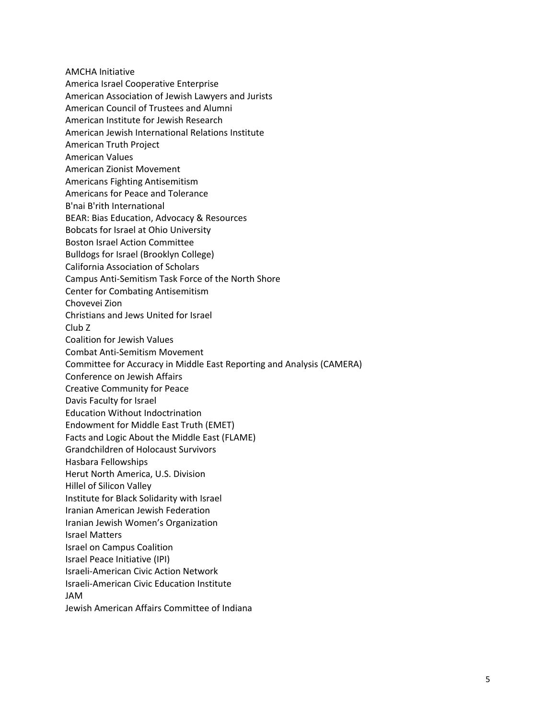AMCHA Initiative America Israel Cooperative Enterprise American Association of Jewish Lawyers and Jurists American Council of Trustees and Alumni American Institute for Jewish Research American Jewish International Relations Institute American Truth Project American Values American Zionist Movement Americans Fighting Antisemitism Americans for Peace and Tolerance B'nai B'rith International BEAR: Bias Education, Advocacy & Resources Bobcats for Israel at Ohio University Boston Israel Action Committee Bulldogs for Israel (Brooklyn College) California Association of Scholars Campus Anti-Semitism Task Force of the North Shore Center for Combating Antisemitism Chovevei Zion Christians and Jews United for Israel Club Z Coalition for Jewish Values Combat Anti-Semitism Movement Committee for Accuracy in Middle East Reporting and Analysis (CAMERA) Conference on Jewish Affairs Creative Community for Peace Davis Faculty for Israel Education Without Indoctrination Endowment for Middle East Truth (EMET) Facts and Logic About the Middle East (FLAME) Grandchildren of Holocaust Survivors Hasbara Fellowships Herut North America, U.S. Division Hillel of Silicon Valley Institute for Black Solidarity with Israel Iranian American Jewish Federation Iranian Jewish Women's Organization Israel Matters Israel on Campus Coalition Israel Peace Initiative (IPI) Israeli-American Civic Action Network Israeli-American Civic Education Institute JAM Jewish American Affairs Committee of Indiana